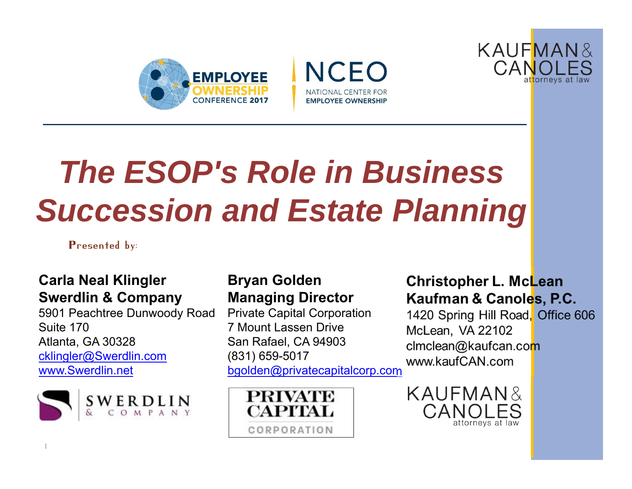





# *The ESOP's Role in Business Succession and Estate Planning*

Presented by:

#### **Carla Neal Klingler Swerdlin & Company**

5901 Peachtree Dunwoody Road Suite 170Atlanta, GA 30328 cklingler@Swerdlin.com www.Swerdlin.net



#### **Bryan Golden Managing Director**

Private Capital Corporation 7 Mount Lassen DriveSan Rafael, CA 94903 (831) 659-5017 bgolden@privatecapitalcorp.com



Christopher L. McLean Kaufman & Canoles, P.C.

1420 Spring Hill Road, Office 606 McLean, VA 22102 clmclean@kaufcan.com www.kaufCAN.com

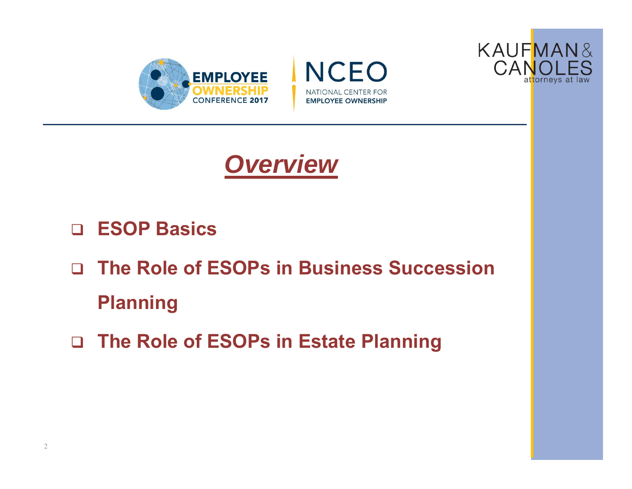







- **ESOP Basics**
- **The Role of ESOPs in Business Succession Planning**
- **The Role of ESOPs in Estate Planning**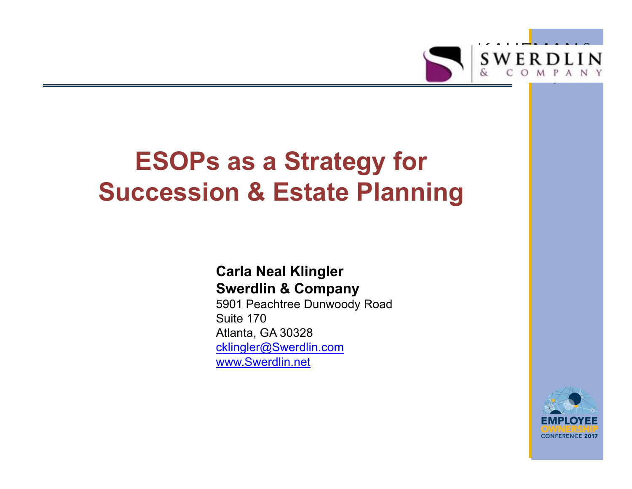

## **ESOPs as a Strategy for Succession & Estate Planning**

#### **Carla Neal Klingler Swerdlin & Company**

5901 Peachtree Dunwoody Road Suite 170Atlanta, GA 30328 cklingler@Swerdlin.com www.Swerdlin.net

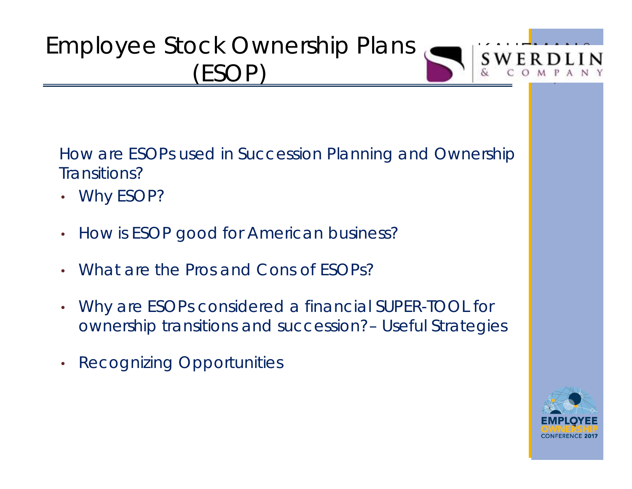

How are ESOPs used in Succession Planning and Ownership Transitions?

- Why ESOP?
- $\bullet$ How is ESOP good for American business?
- •What are the Pros and Cons of ESOPs?
- $\bullet$  Why are ESOPs considered a financial SUPER-TOOL for ownership transitions and succession?– Useful Strategies
- $\bullet$ Recognizing Opportunities

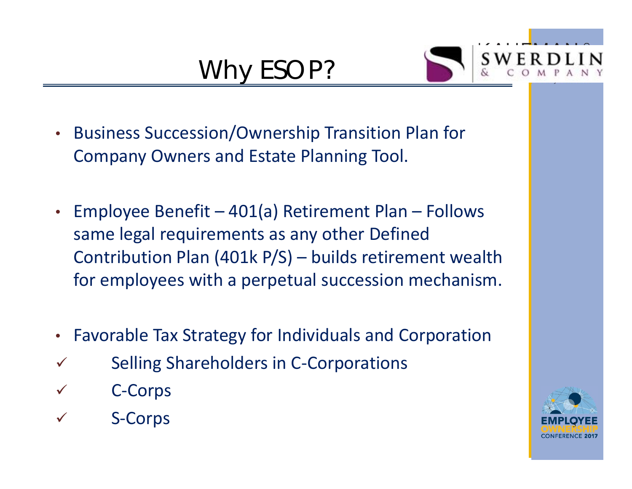### Why ESOP?



- • Business Succession/Ownership Transition Plan for Company Owners and Estate Planning Tool.
- Employee Benefit 401(a) Retirement Plan Follows same legal requirements as any other Defined Contribution Plan (401k P/S) – builds retirement wealth for employees with a perpetual succession mechanism.
- $\bullet$ Favorable Tax Strategy for Individuals and Corporation
- $\checkmark$ Selling Shareholders in C‐Corporations
- $\checkmark$ C‐Corps
- $\checkmark$ S‐Corps

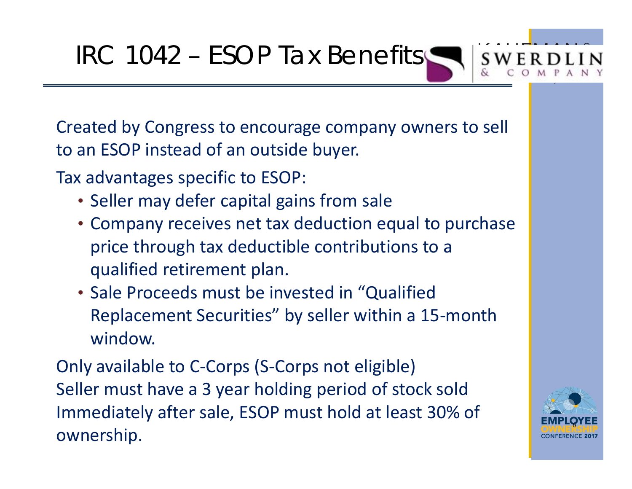IRC 1042 – ESOP Tax Benefits

Created by Congress to encourage company owners to sell to an ESOP instead of an outside buyer.

Tax advantages specific to ESOP:

- Seller may defer capital gains from sale
- Company receives net tax deduction equal to purchase price through tax deductible contributions to a qualified retirement plan.
- Sale Proceeds must be invested in "Qualified Replacement Securities" by seller within a 15‐month window.

Only available to C‐Corps (S‐Corps not eligible) Seller must have a 3 year holding period of stock sold Immediately after sale, ESOP must hold at least 30% of ownership.

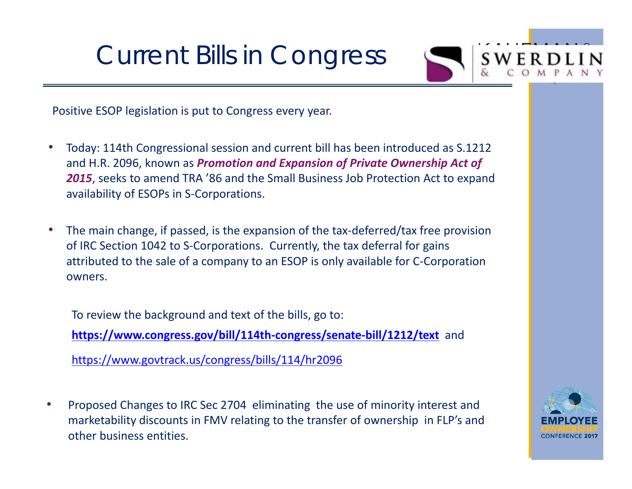Current Bills in Congress



Positive ESOP legislation is put to Congress every year.

- • Today: 114th Congressional session and current bill has been introduced as S.1212 and H.R. 2096, known as *Promotion and Expansion of Private Ownership Act of 2015*, seeks to amend TRA '86 and the Small Business Job Protection Act to expand availability of ESOPs in S‐Corporations.
- •The main change, if passed, is the expansion of the tax-deferred/tax free provision of IRC Section 1042 to S‐Corporations. Currently, the tax deferral for gains attributed to the sale of a company to an ESOP is only available for C‐Corporation owners.

To review the background and text of the bills, go to: **https://www.congress.gov/bill/114th‐congress/senate‐bill/1212/text** and https://www.govtrack.us/congress/bills/114/hr2096

• Proposed Changes to IRC Sec 2704 eliminating the use of minority interest and marketability discounts in FMV relating to the transfer of ownership in FLP's and other business entities.

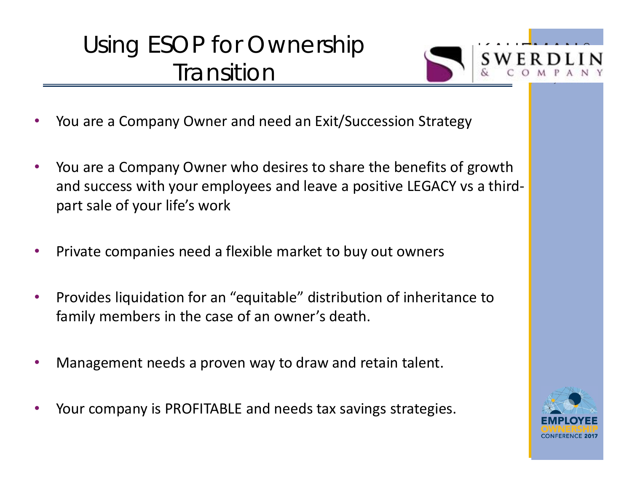### Using ESOP for Ownership **Transition**



- •You are a Company Owner and need an Exit/Succession Strategy
- • You are a Company Owner who desires to share the benefits of growth and success with your employees and leave a positive LEGACY vs a third‐ part sale of your life's work
- •Private companies need a flexible market to buy out owners
- • Provides liquidation for an "equitable" distribution of inheritance to family members in the case of an owner's death.
- •Management needs a proven way to draw and retain talent.
- •Your company is PROFITABLE and needs tax savings strategies.

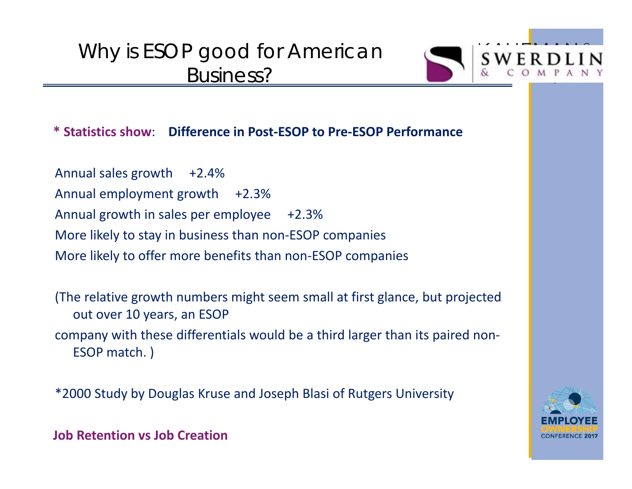### Why is ESOP good for American Business?



**\* Statistics show**: **Difference in Post‐ESOP to Pre‐ESOP Performance**

Annual sales growth  $+2.4%$ Annual employment growth +2.3% Annual growth in sales per employee +2.3% More likely to stay in business than non‐ESOP companies More likely to offer more benefits than non‐ESOP companies

(The relative growth numbers might seem small at first glance, but projected out over 10 years, an ESOP company with these differentials would be a third larger than its paired non‐ ESOP match. )

\*2000 Study by Douglas Kruse and Joseph Blasi of Rutgers University



**Job Retention vs Job Creation**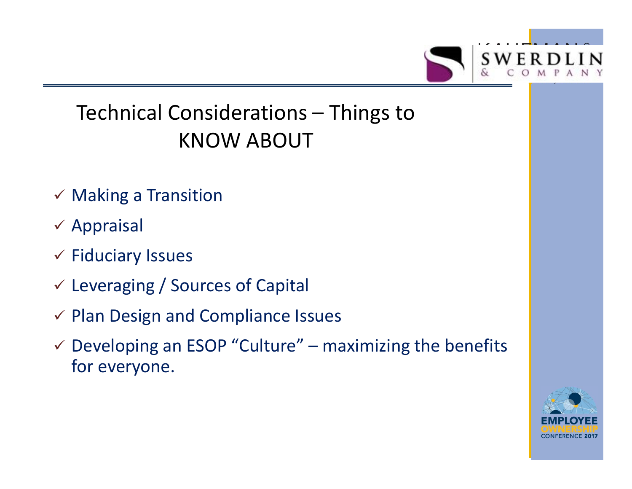

### Technical Considerations – Things to KNOW ABOUT

- $\checkmark$  Making a Transition
- $\times$  Appraisal
- $\checkmark$  Fiduciary Issues
- Leveraging / Sources of Capital
- $\checkmark$  Plan Design and Compliance Issues
- $\checkmark$  Developing an ESOP "Culture" maximizing the benefits for everyone.

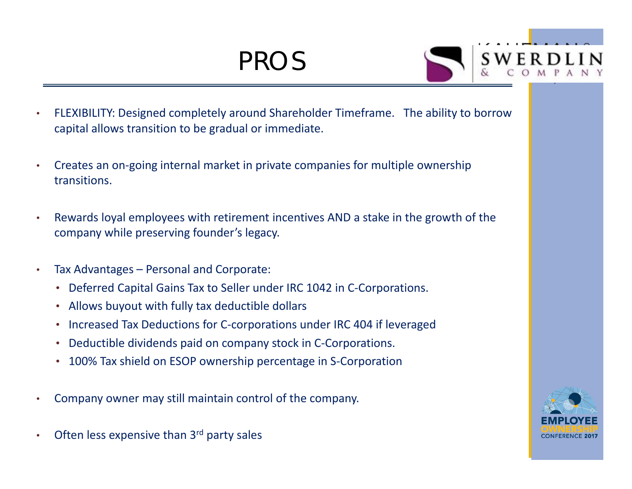### PROS



- • FLEXIBILITY: Designed completely around Shareholder Timeframe. The ability to borrow capital allows transition to be gradual or immediate.
- • Creates an on‐going internal market in private companies for multiple ownership transitions.
- • Rewards loyal employees with retirement incentives AND a stake in the growth of the company while preserving founder's legacy.
- • Tax Advantages – Personal and Corporate:
	- Deferred Capital Gains Tax to Seller under IRC 1042 in C‐Corporations.
	- Allows buyout with fully tax deductible dollars
	- •Increased Tax Deductions for C‐corporations under IRC 404 if leveraged
	- •Deductible dividends paid on company stock in C‐Corporations.
	- •100% Tax shield on ESOP ownership percentage in S‐Corporation
- •Company owner may still maintain control of the company.
- •Often less expensive than 3rd party sales

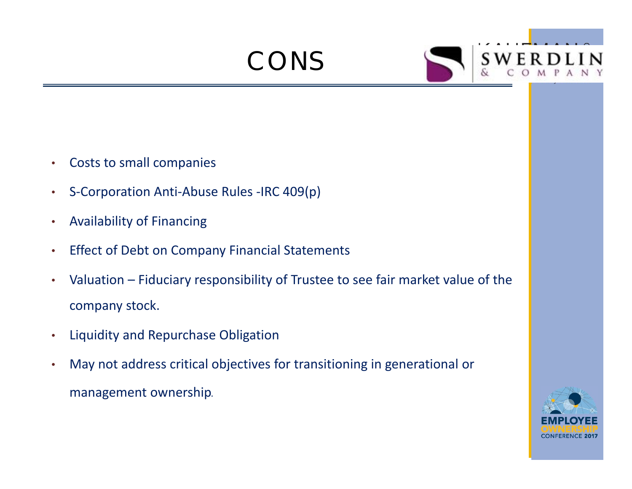CONS



- •Costs to small companies
- •S‐Corporation Anti‐Abuse Rules ‐IRC 409(p)
- •Availability of Financing
- •Effect of Debt on Company Financial Statements
- • Valuation – Fiduciary responsibility of Trustee to see fair market value of the company stock.
- •Liquidity and Repurchase Obligation
- • May not address critical objectives for transitioning in generational or management ownership.Å

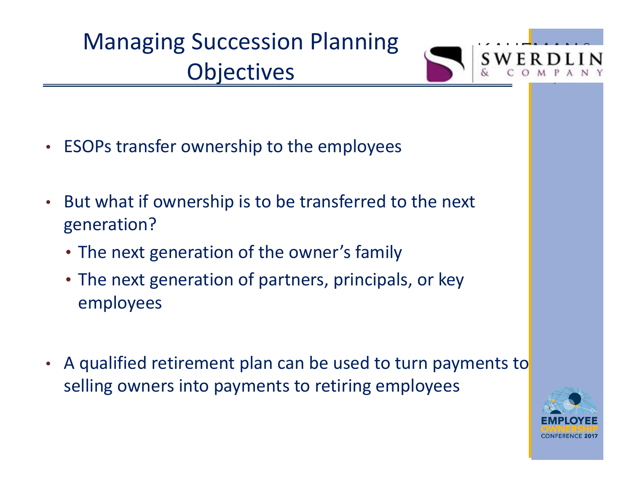## Managing Succession Planning **Objectives**



- ESOPs transfer ownership to the employees
- • But what if ownership is to be transferred to the next generation?
	- The next generation of the owner's family
	- The next generation of partners, principals, or key employees
- $\bullet$ A qualified retirement plan can be used to turn payments to selling owners into payments to retiring employees

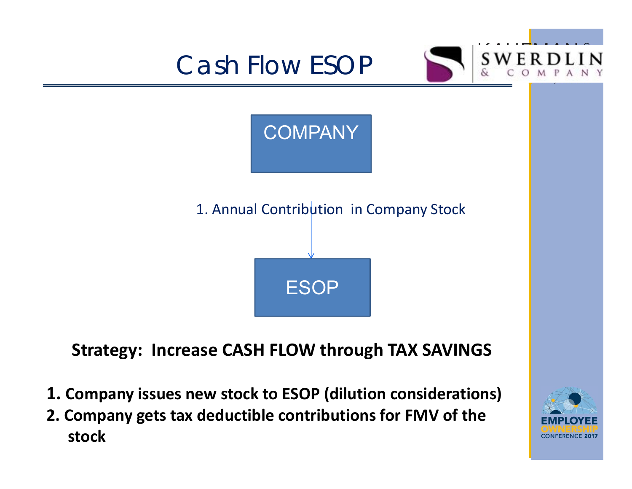

- **1. Company issues new stock to ESOP (dilution considerations)**
- **2. Company gets tax deductible contributions for FMV of the stock**

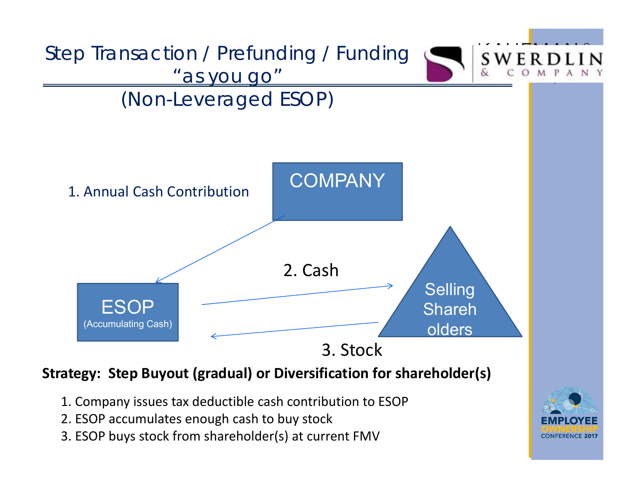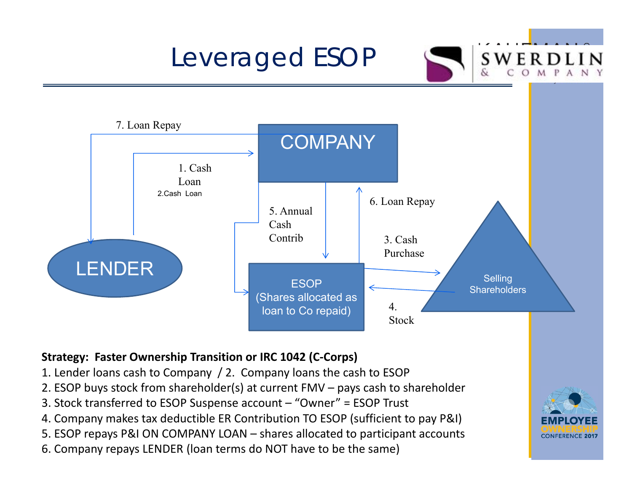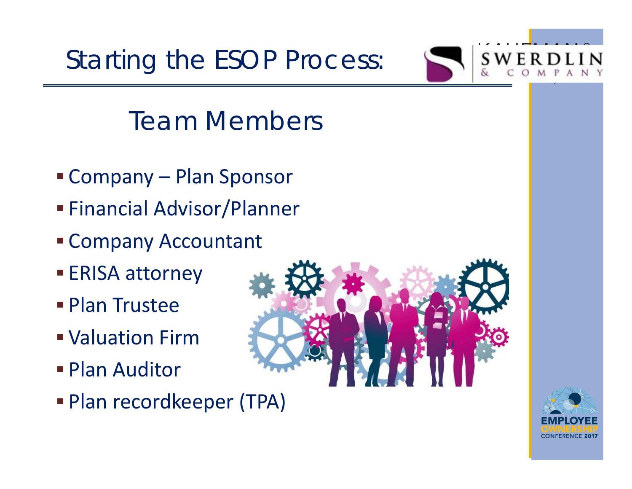Starting the ESOP Process:



### Team Members

- Company Plan Sponsor
- Financial Advisor/Planner
- Company Accountant
- **ERISA attorney**
- **Plan Trustee**
- Valuation Firm
- Plan Auditor
- Plan recordkeeper (TPA)



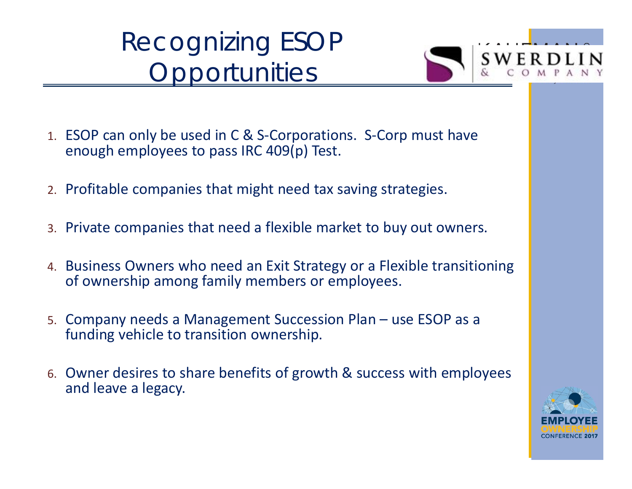### Recognizing ESOP **Opportunities**



- 1. ESOP can only be used in C & S‐Corporations. S‐Corp must have enough employees to pass IRC 409(p) Test.
- 2. Profitable companies that might need tax saving strategies.
- 3. Private companies that need a flexible market to buy out owners.
- 4. Business Owners who need an Exit Strategy or a Flexible transitioning of ownership among family members or employees.
- 5. Company needs a Management Succession Plan use ESOP as a funding vehicle to transition ownership.
- 6. Owner desires to share benefits of growth & success with employees and leave a legacy.

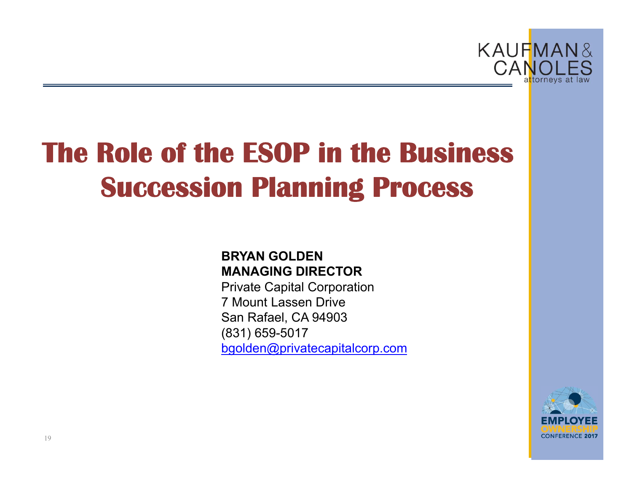

# **The Role of the ESOP in the Business Succession Planning Process**

#### **BRYAN GOLDENMANAGING DIRECTOR**

Private Capital Corporation 7 Mount Lassen DriveSan Rafael, CA 94903 (831) 659-5017 bgolden@privatecapitalcorp.com

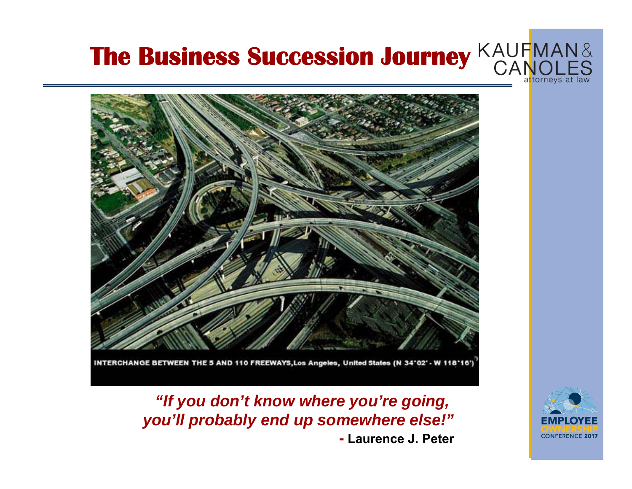



*"If you don't know where you're going, you'll probably end up somewhere else!"* **- Laurence J. Peter**

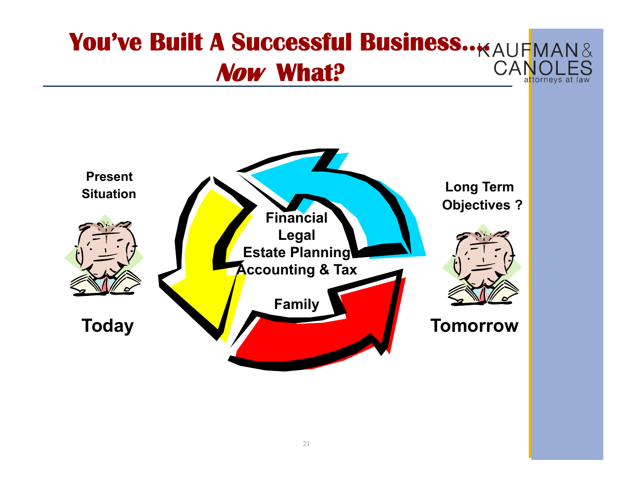#### **You've Built A Successful Business..**  $_{\text{KAUF}$ **MAN&**  $CAP$ **Now What?** a<mark>t</mark>torneys at law

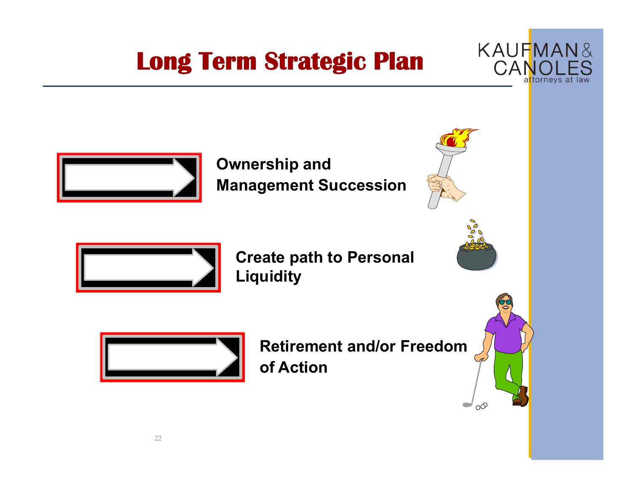### **Long Term Strategic Plan**





**Ownership and Management Succession**



**Create path to Personal Liquidity**



**Retirement and/or Freedom of Action**

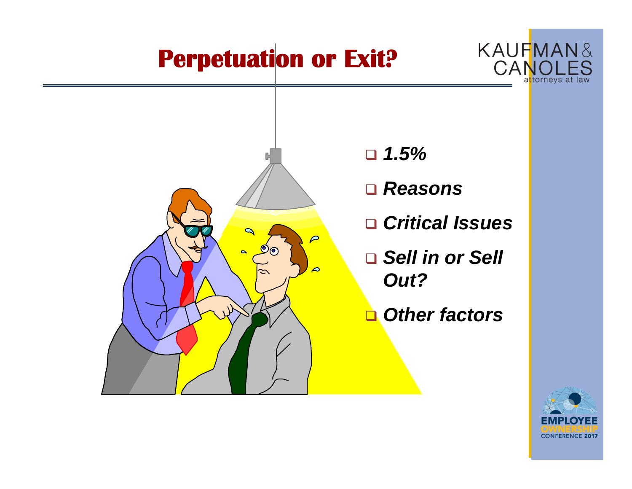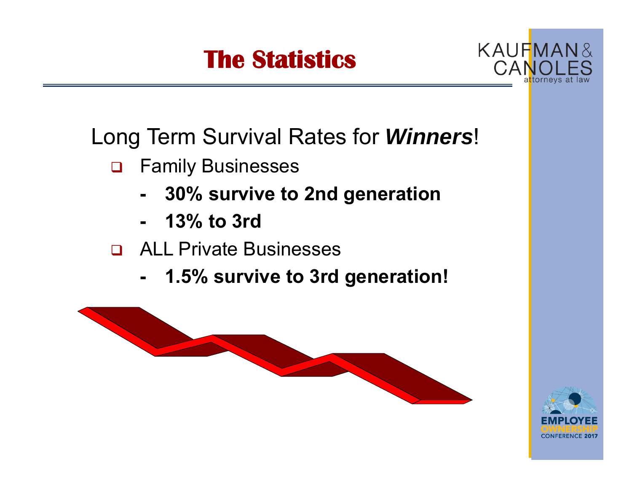# **The Statistics**



Long Term Survival Rates for *Winners*!

- $\Box$  Family Businesses
	- **- 30% survive to 2nd generation**
	- **- 13% to 3rd**
- ALL Private Businesses
	- **- 1.5% survive to 3rd generation!**



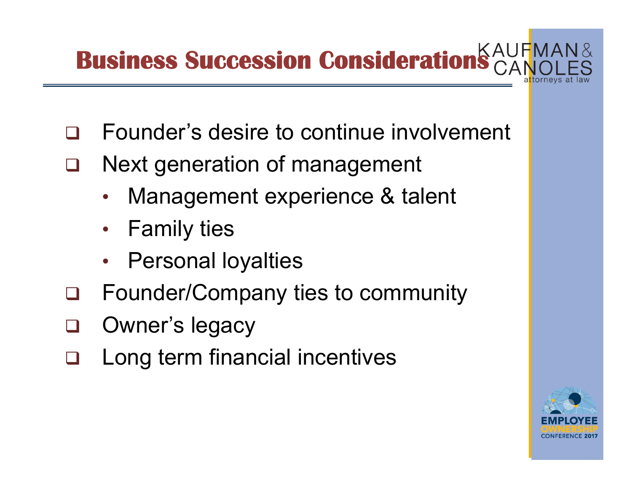# **Business Succession Consideration**

- $\Box$ Founder's desire to continue involvement
- Ш Next generation of management
	- •Management experience & talent
	- •• Family ties
	- •• Personal loyalties
- $\Box$ Founder/Company ties to community
- $\Box$ Owner's legacy
- $\Box$ Long term financial incentives

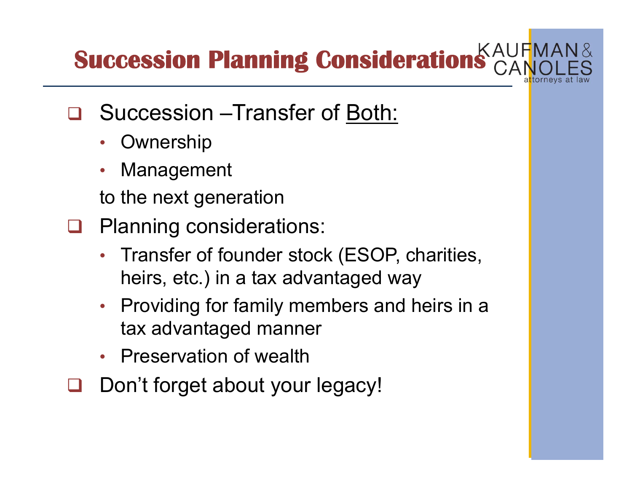**Succession Planning Consideration** 

- $\Box$  Succession –Transfer of Both:
	- •**Ownership**
	- •Management

to the next generation

- ப Planning considerations:
	- • Transfer of founder stock (ESOP, charities, heirs, etc.) in a tax advantaged way
	- $\bullet$  Providing for family members and heirs in a tax advantaged manner
	- •Preservation of wealth
- $\Box$ Don't forget about your legacy!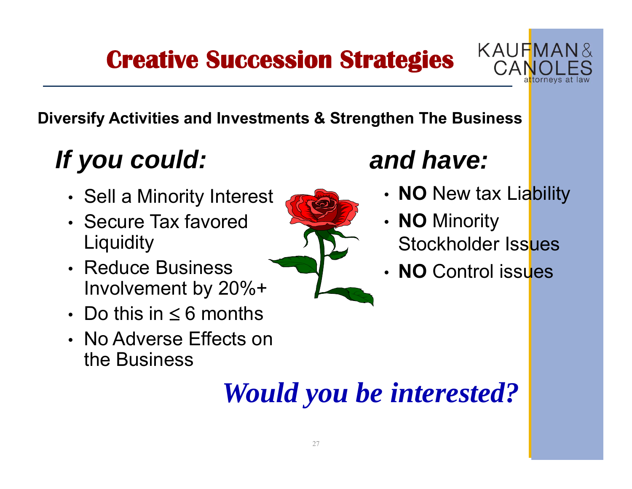### **Creative Succession Strategies**



#### **Diversify Activities and Investments & Strengthen The Business**

# *If you could:*

- •• Sell a Minority Interest
- Secure Tax favored **Liquidity**
- Reduce Business Involvement by 20%+
- $\boldsymbol{\cdot} \;$  Do this in  $\leq 6$  months
- No Adverse Effects on the Business



# *and have:*

- •**NO** New tax Liability
- • **NO** Minority Stockholder Issues
- **NO** Control issues

# *Would you be interested?*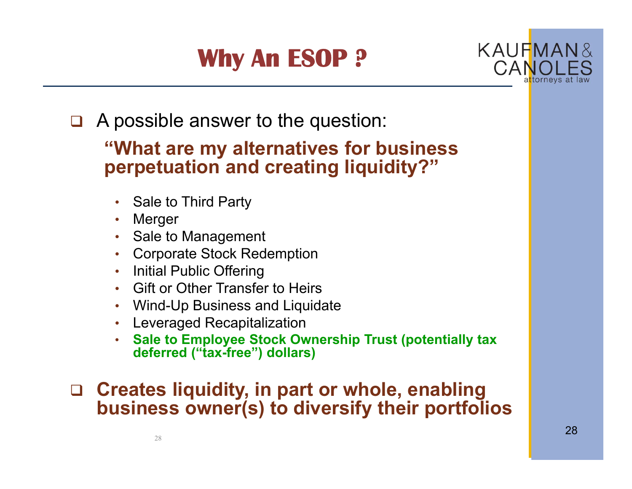# **Why An ESOP ?**



 $\Box$ A possible answer to the question:

#### **"What are my alternatives for business perpetuation and creating liquidity?"**

- Sale to Third Party
- •Merger
- Sale to Management
- Corporate Stock Redemption
- Initial Public Offering
- Gift or Other Transfer to Heirs
- Wind-Up Business and Liquidate
- Leveraged Recapitalization
- **Sale to Employee Stock Ownership Trust (potentially tax deferred ("tax-free") dollars)**

#### **Creates liquidity, in part or whole, enabling business owner(s) to diversify their portfolios**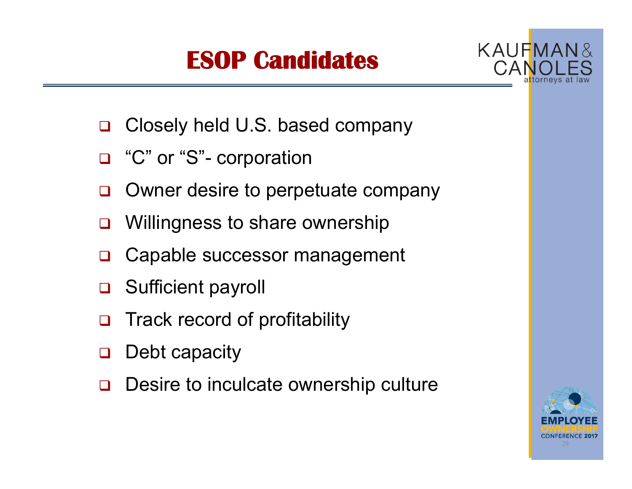## **ESOP Candidates**



- $\Box$ Closely held U.S. based company
- □ "C" or "S"- corporation
- $\Box$ Owner desire to perpetuate company
- $\Box$ Willingness to share ownership
- $\Box$ Capable successor management
- $\Box$ Sufficient payroll
- $\Box$ Track record of profitability
- $\Box$ Debt capacity
- $\Box$ Desire to inculcate ownership culture

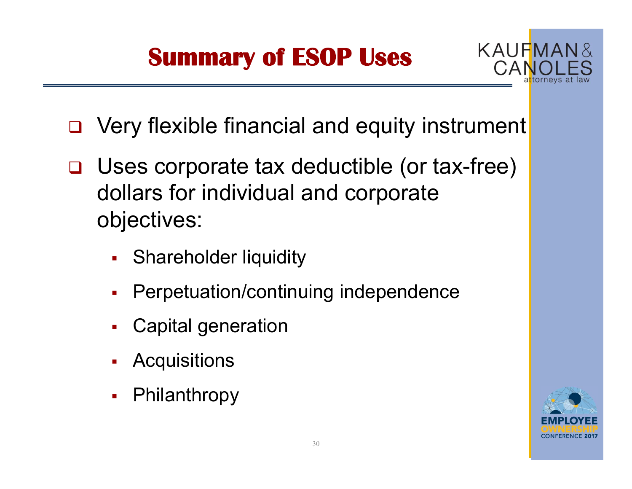# **Summary of ESOP Uses**



- □ Very flexible financial and equity instrument
- Uses corporate tax deductible (or tax-free) dollars for individual and corporate objectives:
	- П **Shareholder liquidity**
	- Г Perpetuation/continuing independence
	- П Capital generation
	- $\blacksquare$ **Acquisitions**
	- $\blacksquare$ Philanthropy

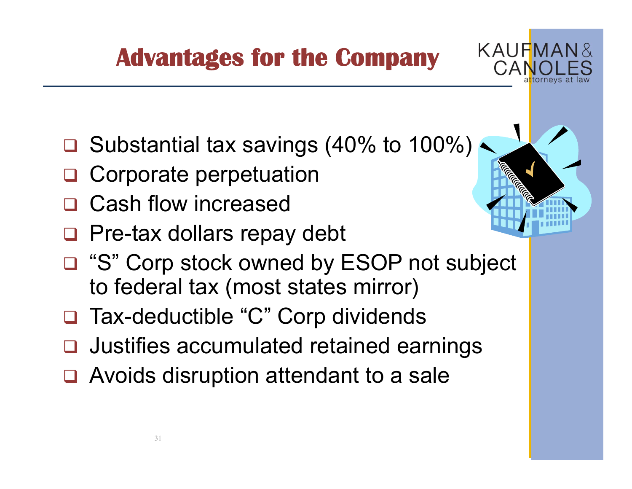**Advantages for the Company**

- **□** Substantial tax savings (40% to 100%)
- $\Box$ Corporate perpetuation
- $\Box$ Cash flow increased
- □ Pre-tax dollars repay debt
- □ "S" Corp stock owned by ESOP not subject to federal tax (most states mirror)
- $\Box$ Tax-deductible "C" Corp dividends
- **Q** Justifies accumulated retained earnings
- □ Avoids disruption attendant to a sale



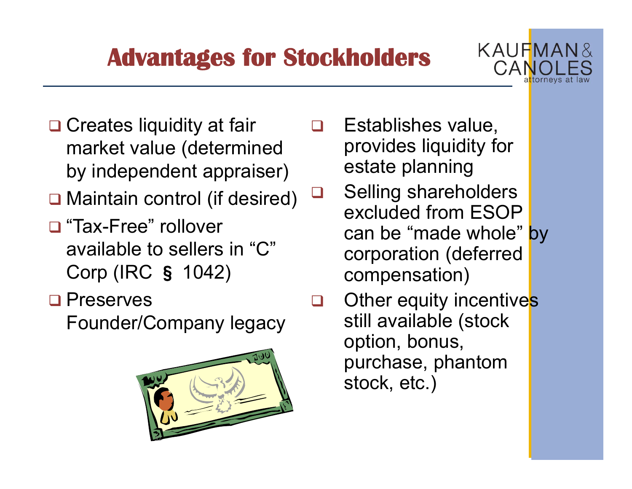### **Advantages for Stockholders**



- **□ Creates liquidity at fair** market value (determined by independent appraiser)
- □ Maintain control (if desired)
- □ "Tax-Free" rollover available to sellers in "C" Corp (IRC § 1042)
- □ Preserves

Founder/Company legacy



- **Q** Establishes value, provides liquidity for estate planning
- $\Box$  Selling shareholders excluded from ESOP can be "made whole" by corporation (deferred compensation)
- $\Box$ Other equity incentives still available (stock option, bonus, purchase, phantom stock, etc.)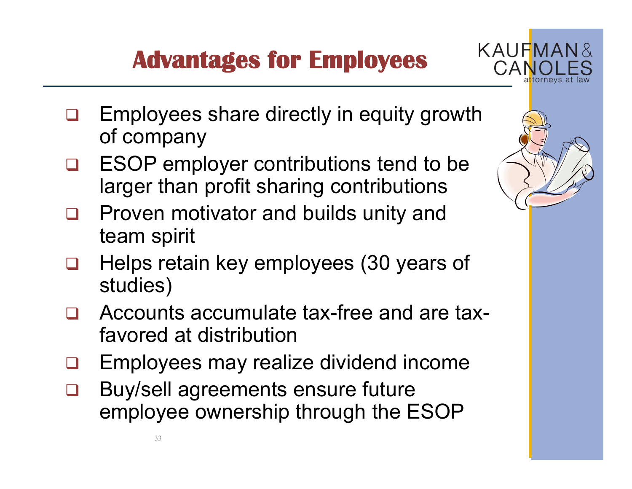# **Advantages for Employees**



- $\Box$  Employees share directly in equity growth of company
- $\Box$  ESOP employer contributions tend to be larger than profit sharing contributions
- $\Box$  Proven motivator and builds unity and team spirit
- $\Box$  Helps retain key employees (30 years of studies)
- $\Box$  Accounts accumulate tax-free and are taxfavored at distribution
- Ц Employees may realize dividend income
- $\Box$  Buy/sell agreements ensure future employee ownership through the ESOP

33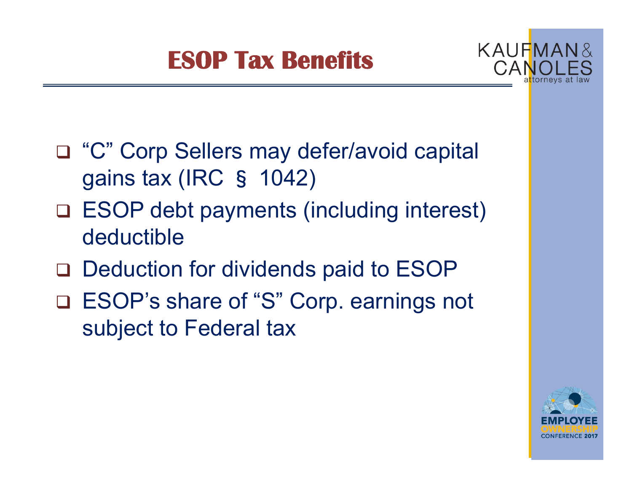## **ESOP Tax Benefits**



- □ "C" Corp Sellers may defer/avoid capital gains tax (IRC § 1042)
- ESOP debt payments (including interest) deductible
- □ Deduction for dividends paid to ESOP
- ESOP's share of "S" Corp. earnings not subject to Federal tax

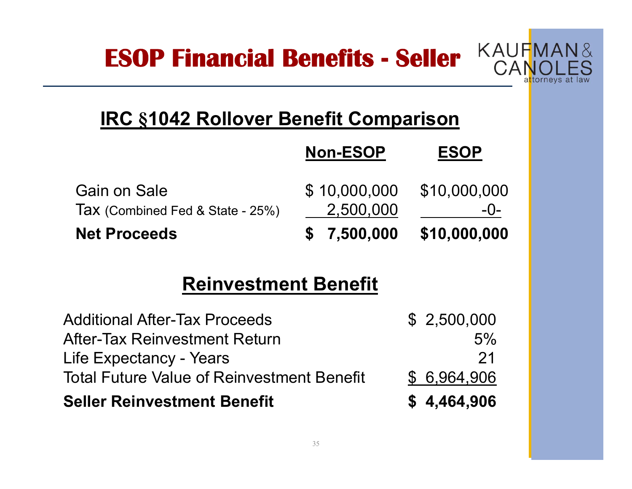**ESOP Financial Benefits - Seller**



#### **IRC §1042 Rollover Benefit Comparison**

|                                                         | <b>Non-ESOP</b>           | <b>ESOP</b>           |
|---------------------------------------------------------|---------------------------|-----------------------|
| <b>Gain on Sale</b><br>Tax (Combined Fed & State - 25%) | \$10,000,000<br>2,500,000 | \$10,000,000<br>$-0-$ |
| <b>Net Proceeds</b>                                     | \$7,500,000               | \$10,000,000          |

#### **Reinvestment Benefit**

| <b>Seller Reinvestment Benefit</b>                | \$4,464,906  |
|---------------------------------------------------|--------------|
| <b>Total Future Value of Reinvestment Benefit</b> | \$ 6,964,906 |
| Life Expectancy - Years                           | 21           |
| <b>After-Tax Reinvestment Return</b>              | 5%           |
| <b>Additional After-Tax Proceeds</b>              | \$2,500,000  |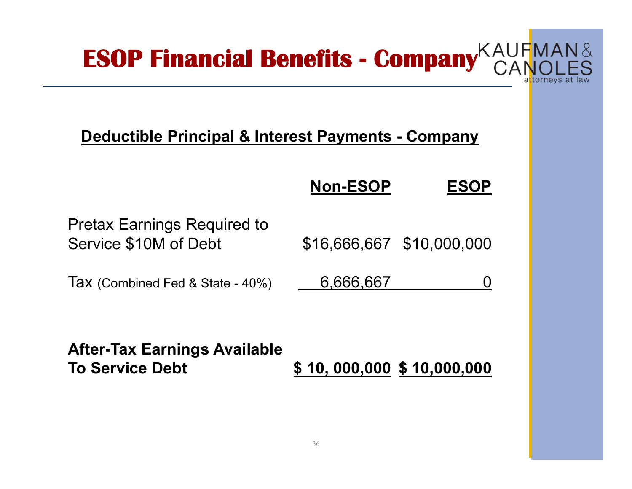

#### **Deductible Principal & Interest Payments - Company**

|                                                             | <b>Non-ESOP</b>           | <b>ESOP</b> |
|-------------------------------------------------------------|---------------------------|-------------|
| <b>Pretax Earnings Required to</b><br>Service \$10M of Debt | \$16,666,667 \$10,000,000 |             |
| Tax (Combined Fed & State - 40%)                            | 6,666,667                 |             |

**After-Tax Earnings Available To Service Debt \$ 10, 000,000 \$ 10,000,000**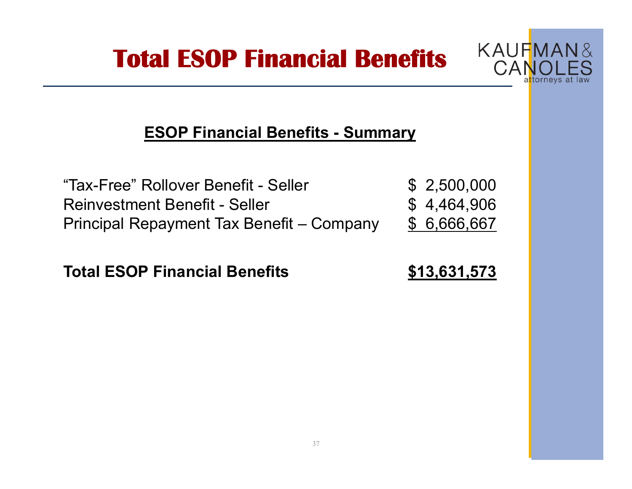### **Total ESOP Financial Benefits**



#### **ESOP Financial Benefits - Summary**

| "Tax-Free" Rollover Benefit - Seller      | \$2,500,000  |
|-------------------------------------------|--------------|
| <b>Reinvestment Benefit - Seller</b>      | \$4,464,906  |
| Principal Repayment Tax Benefit – Company | \$ 6,666,667 |

**Total ESOP Financial Benefits \$13,631,573**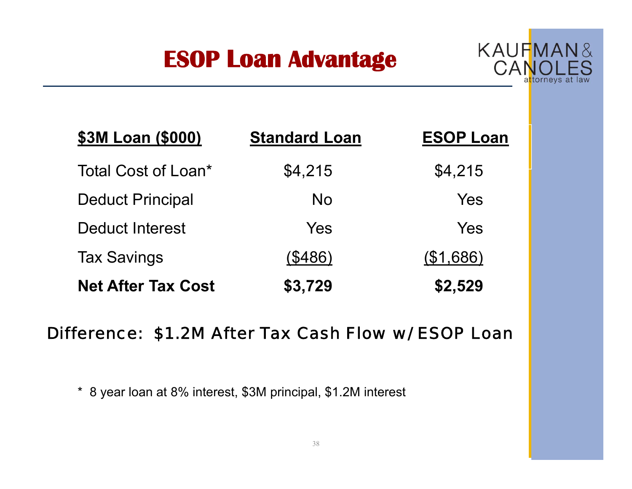### **ESOP Loan Advantage**



| \$3M Loan (\$000)         | <b>Standard Loan</b> | <b>ESOP Loan</b> |
|---------------------------|----------------------|------------------|
| Total Cost of Loan*       | \$4,215              | \$4,215          |
| <b>Deduct Principal</b>   | <b>No</b>            | Yes              |
| <b>Deduct Interest</b>    | Yes                  | Yes              |
| <b>Tax Savings</b>        | (\$486)              | (\$1,686)        |
| <b>Net After Tax Cost</b> | \$3,729              | \$2,529          |

#### *Difference: \$1.2M After Tax Cash Flow w/ ESOP Loan*

\* 8 year loan at 8% interest, \$3M principal, \$1.2M interest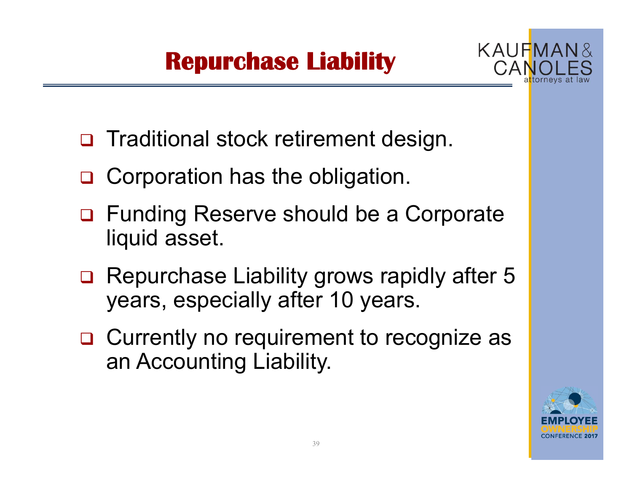### **Repurchase Liability**



- □ Traditional stock retirement design.
- □ Corporation has the obligation.
- □ Funding Reserve should be a Corporate liquid asset.
- □ Repurchase Liability grows rapidly after 5 years, especially after 10 years.
- □ Currently no requirement to recognize as an Accounting Liability.

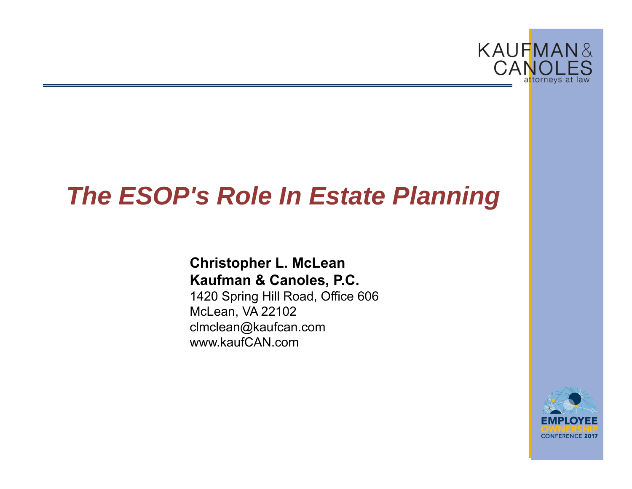

### *The ESOP's Role In Estate Planning*

#### **Christopher L. McLean Kaufman & Canoles, P.C.**

1420 Spring Hill Road, Office 606 McLean, VA 22102 clmclean@kaufcan.com www.kaufCAN.com

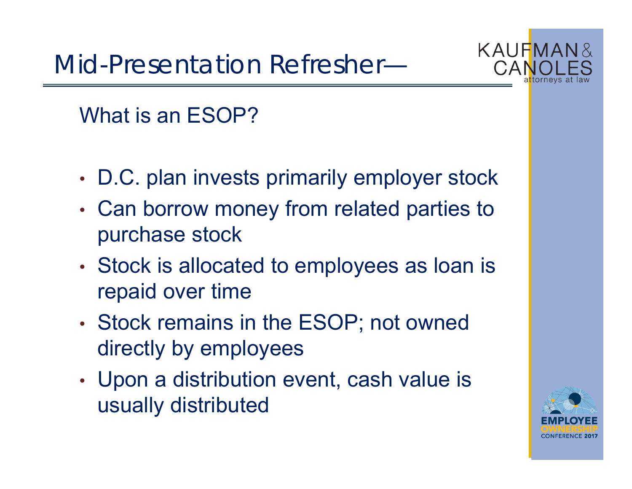Mid-Presentation Refresher—



What is an ESOP?

- •D.C. plan invests primarily employer stock
- • Can borrow money from related parties to purchase stock
- • Stock is allocated to employees as loan is repaid over time
- • Stock remains in the ESOP; not owned directly by employees
- • Upon a distribution event, cash value is usually distributed

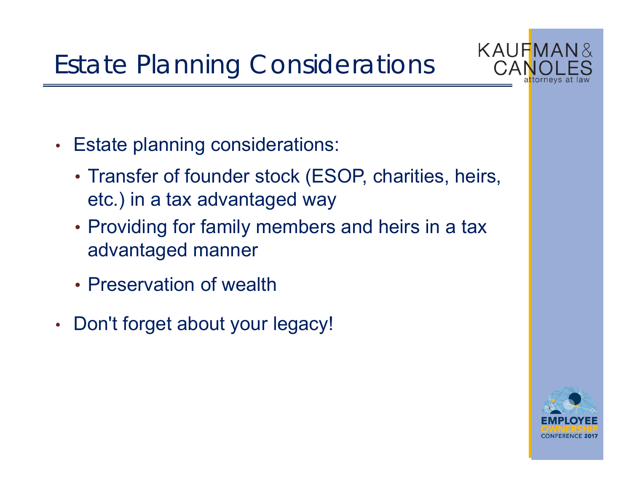

- • Estate planning considerations:
	- Transfer of founder stock (ESOP, charities, heirs, etc.) in a tax advantaged way
	- Providing for family members and heirs in a tax advantaged manner
	- Preservation of wealth
- •• Don't forget about your legacy!

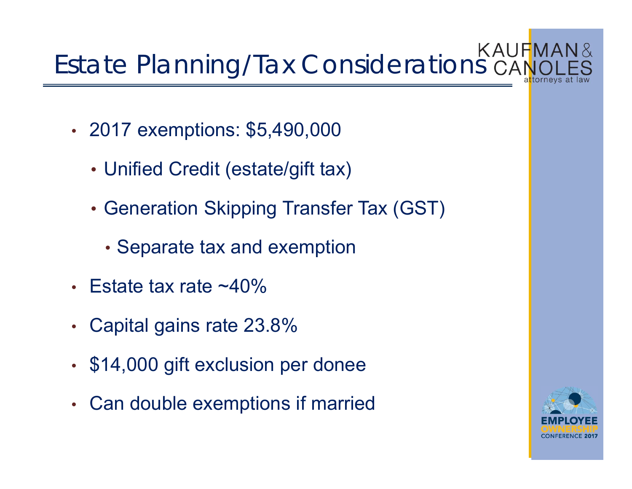# **Estate Planning/Tax Considerations CANOLES**

- • 2017 exemptions: \$5,490,000
	- Unified Credit (estate/gift tax)
	- Generation Skipping Transfer Tax (GST)
		- Separate tax and exemption
- •Estate tax rate  $~10\%$
- $\bullet$ Capital gains rate 23.8%
- •\$14,000 gift exclusion per donee
- •Can double exemptions if married

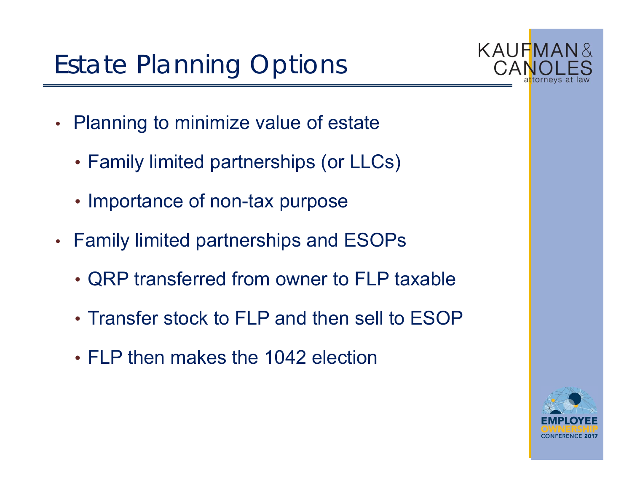# Estate Planning Options



- • Planning to minimize value of estate
	- Family limited partnerships (or LLCs)
	- Importance of non-tax purpose
- • Family limited partnerships and ESOPs
	- QRP transferred from owner to FLP taxable
	- Transfer stock to FLP and then sell to ESOP
	- FLP then makes the 1042 election

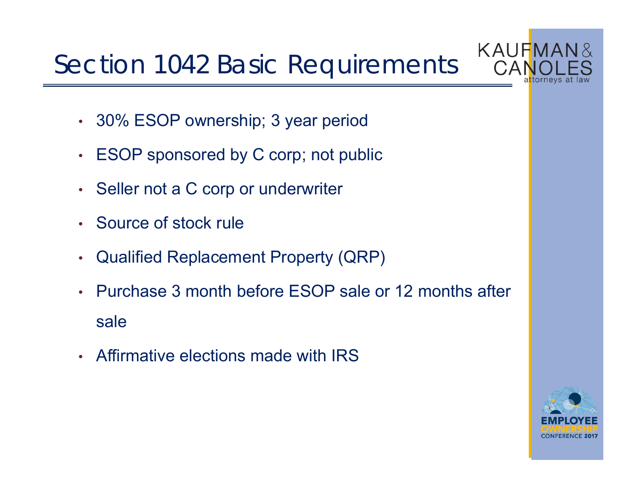# Section 1042 Basic Requirements



- 30% ESOP ownership; 3 year period
- ESOP sponsored by C corp; not public
- Seller not a C corp or underwriter
- Source of stock rule
- •Qualified Replacement Property (QRP)
- • Purchase 3 month before ESOP sale or 12 months after sale
- Affirmative elections made with IRS

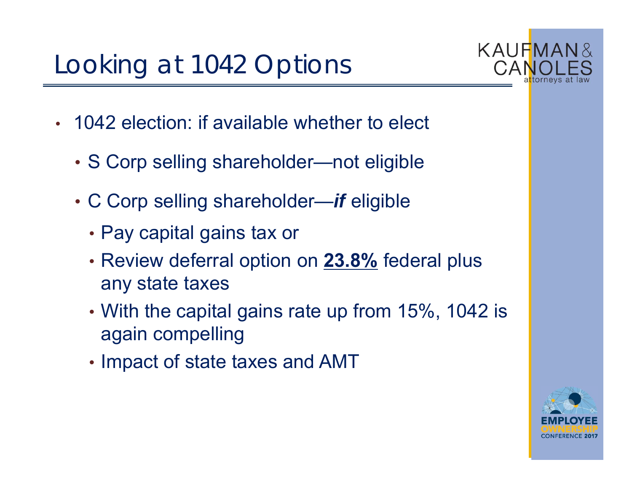# Looking at 1042 Options



- 1042 election: if available whether to elect
	- S Corp selling shareholder—not eligible
	- C Corp selling shareholder—*if* eligible
		- Pay capital gains tax or
		- Review deferral option on **23.8%** federal plus any state taxes
		- With the capital gains rate up from 15%, 1042 is again compelling
		- Impact of state taxes and AMT

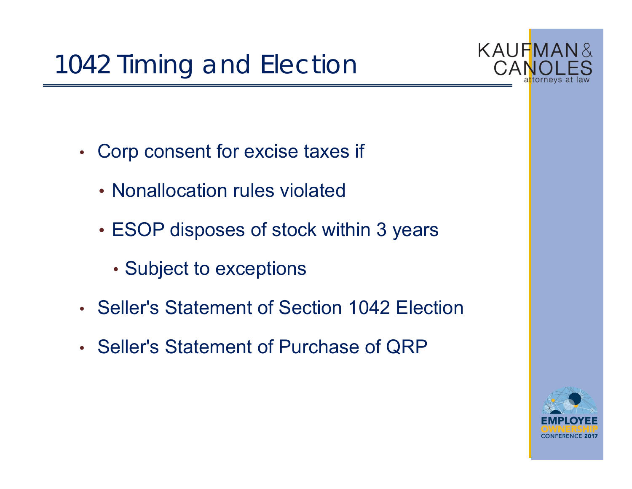

- • Corp consent for excise taxes if
	- Nonallocation rules violated
	- ESOP disposes of stock within 3 years
		- Subject to exceptions
- Seller's Statement of Section 1042 Election
- Seller's Statement of Purchase of QRP

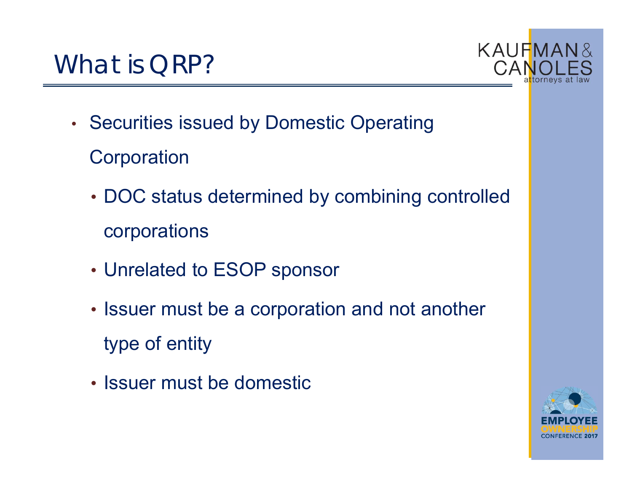

•• Securities issued by Domestic Operating

**Corporation** 

- DOC status determined by combining controlled corporations
- Unrelated to ESOP sponsor
- Issuer must be a corporation and not another type of entity
- Issuer must be domestic

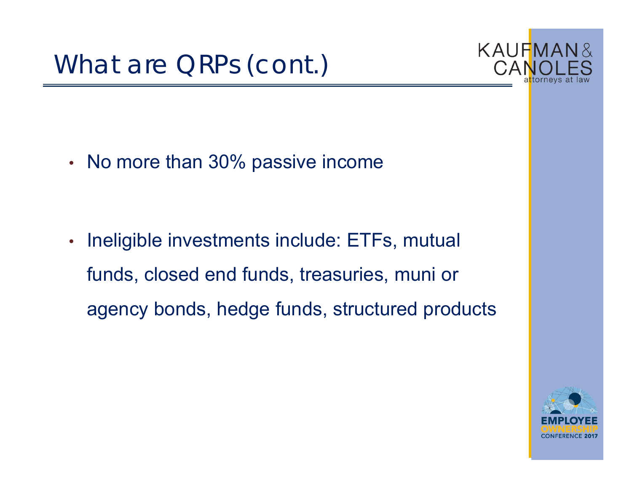

•• No more than 30% passive income

• Ineligible investments include: ETFs, mutual funds, closed end funds, treasuries, muni or agency bonds, hedge funds, structured products

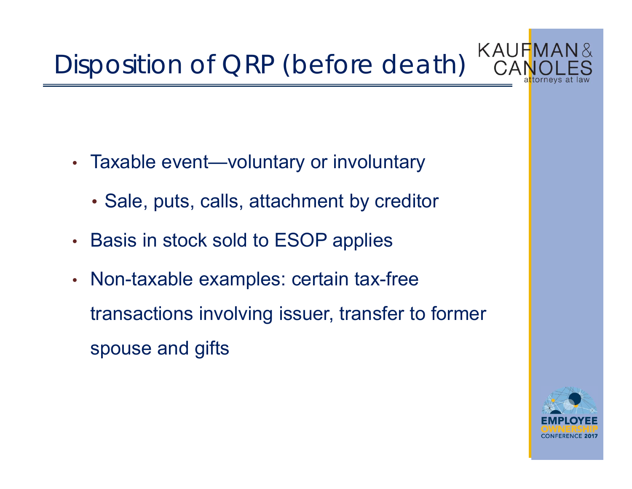#### KAUFMAN& Disposition of QRP (before death)

- • Taxable event—voluntary or involuntary
	- Sale, puts, calls, attachment by creditor
- •• Basis in stock sold to ESOP applies
- •• Non-taxable examples: certain tax-free transactions involving issuer, transfer to former spouse and gifts

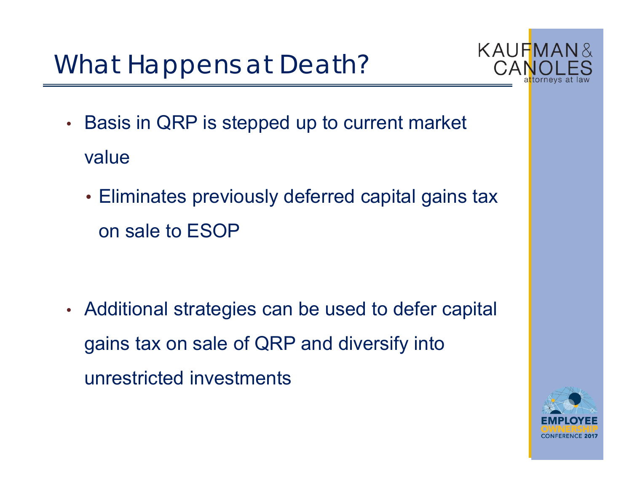What Happens at Death?



- • Basis in QRP is stepped up to current market value
	- Eliminates previously deferred capital gains tax on sale to ESOP

• Additional strategies can be used to defer capital gains tax on sale of QRP and diversify into unrestricted investments

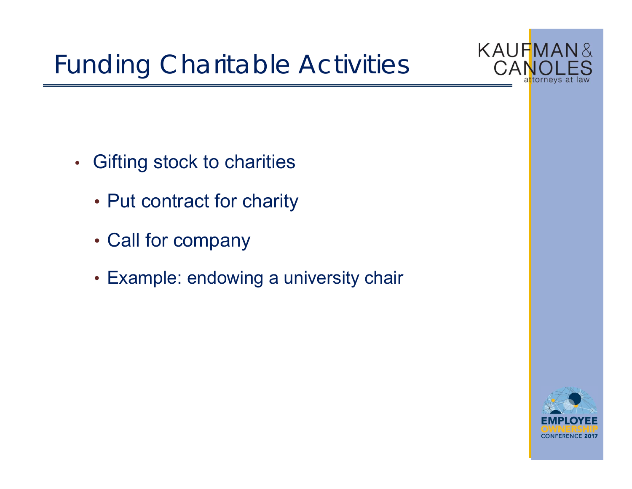

- • Gifting stock to charities
	- Put contract for charity
	- Call for company
	- Example: endowing a university chair

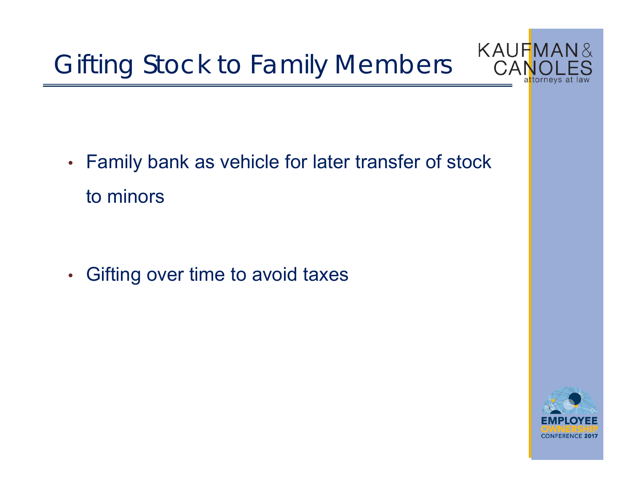Gifting Stock to Family Members



• Family bank as vehicle for later transfer of stock to minors

•Gifting over time to avoid taxes

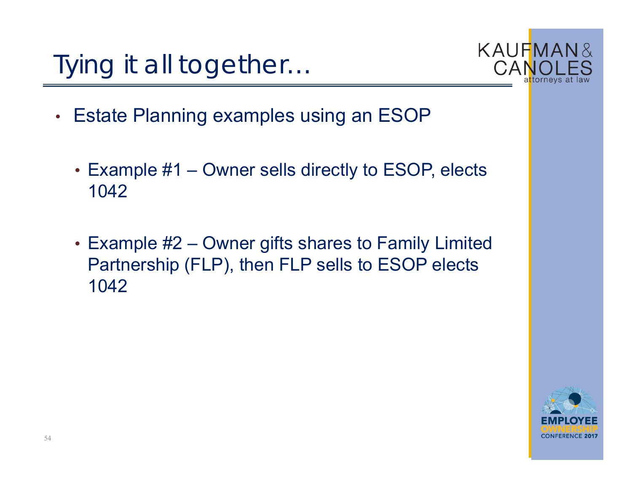



- • Estate Planning examples using an ESOP
	- Example #1 Owner sells directly to ESOP, elects 1042
	- Example #2 Owner gifts shares to Family Limited Partnership (FLP), then FLP sells to ESOP elects 1042

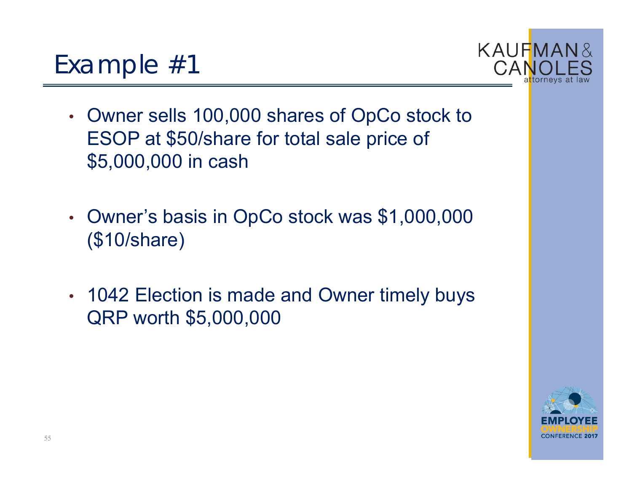- • Owner sells 100,000 shares of OpCo stock to ESOP at \$50/share for total sale price of \$5,000,000 in cash
- • Owner's basis in OpCo stock was \$1,000,000 (\$10/share)
- • 1042 Election is made and Owner timely buys QRP worth \$5,000,000



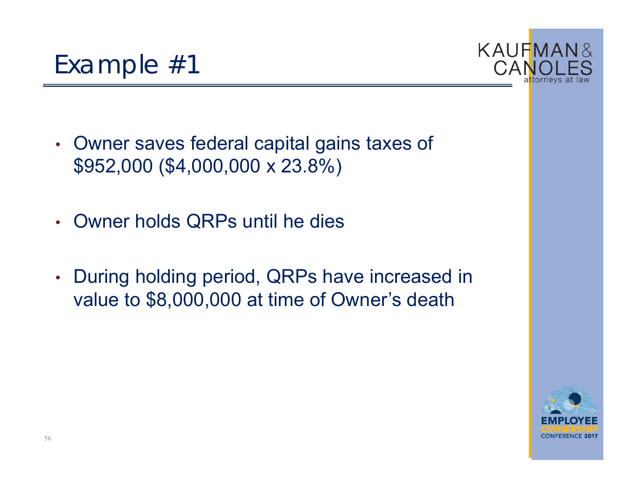- • Owner saves federal capital gains taxes of \$952,000 (\$4,000,000 x 23.8%)
- Owner holds QRPs until he dies
- • During holding period, QRPs have increased in value to \$8,000,000 at time of Owner's death



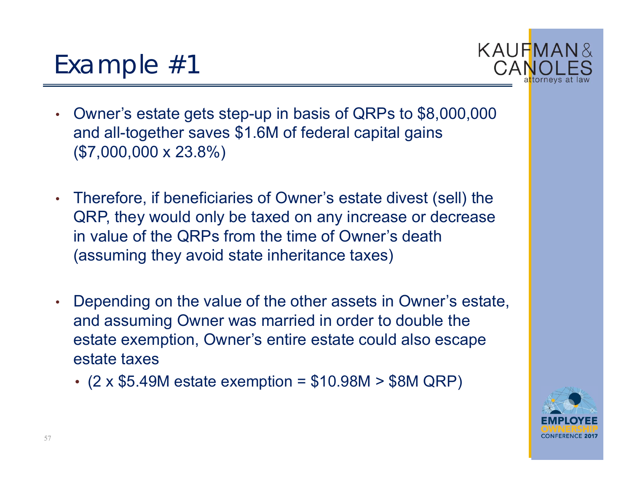- • Owner's estate gets step-up in basis of QRPs to \$8,000,000 and all-together saves \$1.6M of federal capital gains (\$7,000,000 x 23.8%)
- Therefore, if beneficiaries of Owner's estate divest (sell) the QRP, they would only be taxed on any increase or decrease in value of the QRPs from the time of Owner's death (assuming they avoid state inheritance taxes)
- • Depending on the value of the other assets in Owner's estate, and assuming Owner was married in order to double the estate exemption, Owner's entire estate could also escape estate taxes
	- (2 x \$5.49M estate exemption = \$10.98M > \$8M QRP)



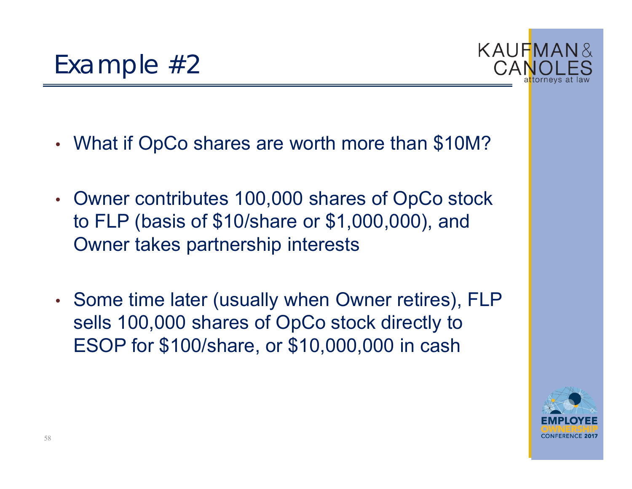- •What if OpCo shares are worth more than \$10M?
- • Owner contributes 100,000 shares of OpCo stock to FLP (basis of \$10/share or \$1,000,000), and Owner takes partnership interests
- •• Some time later (usually when Owner retires), FLP sells 100,000 shares of OpCo stock directly to ESOP for \$100/share, or \$10,000,000 in cash



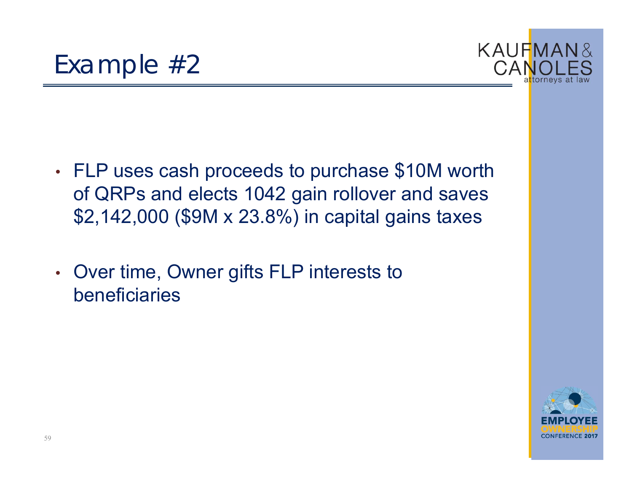



- • FLP uses cash proceeds to purchase \$10M worth of QRPs and elects 1042 gain rollover and saves \$2,142,000 (\$9M x 23.8%) in capital gains taxes
- • Over time, Owner gifts FLP interests to beneficiaries

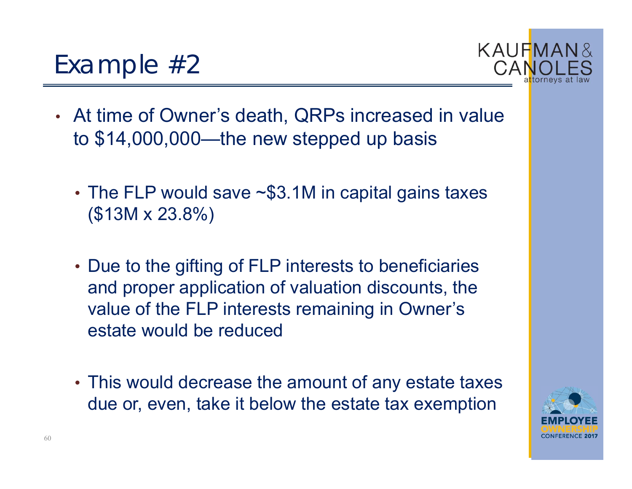- At time of Owner's death, QRPs increased in value to \$14,000,000—the new stepped up basis
	- •• The FLP would save ~\$3.1M in capital gains taxes (\$13M x 23.8%)
	- Due to the gifting of FLP interests to beneficiaries and proper application of valuation discounts, the value of the FLP interests remaining in Owner's estate would be reduced
	- This would decrease the amount of any estate taxes due or, even, take it below the estate tax exemption